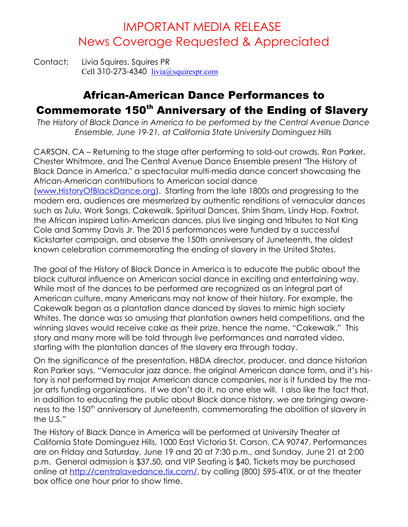# IMPORTANT MEDIA RELEASE News Coverage Requested & Appreciated

Contact: Livia Squires, Squires PR Cell 310-273-4340  $livia(a)$ squirespr.com

# African-American Dance Performances to Commemorate 150<sup>th</sup> Anniversary of the Ending of Slavery

*The History of Black Dance in America to be performed by the Central Avenue Dance Ensemble, June 19-21, at California State University Dominguez Hills*

CARSON, CA – Returning to the stage after performing to sold-out crowds, Ron Parker, Chester Whitmore, and The Central Avenue Dance Ensemble present "The History of Black Dance in America," a spectacular multi-media dance concert showcasing the African-American contributions to American social dance [\(www.HistoryOfBlackDance.org\)](http://www.HistoryOfBlackDance.org/). Starting from the late 1800s and progressing to the modern era, audiences are mesmerized by authentic renditions of vernacular dances such as Zulu, Work Songs, Cakewalk, Spiritual Dances, Shim Sham, Lindy Hop, Foxtrot, the African inspired Latin-American dances, plus live singing and tributes to Nat King Cole and Sammy Davis Jr. The 2015 performances were funded by a successful Kickstarter campaign, and observe the 150th anniversary of Juneteenth, the oldest known celebration commemorating the ending of slavery in the United States.

The goal of the History of Black Dance in America is to educate the public about the black cultural influence on American social dance in exciting and entertaining way. While most of the dances to be performed are recognized as an integral part of American culture, many Americans may not know of their history. For example, the Cakewalk began as a plantation dance danced by slaves to mimic high society Whites. The dance was so amusing that plantation owners held competitions, and the winning slaves would receive cake as their prize, hence the name, "Cakewalk." This story and many more will be told through live performances and narrated video, starting with the plantation dances of the slavery era through today.

On the significance of the presentation, HBDA director, producer, and dance historian Ron Parker says, "Vernacular jazz dance, the original American dance form, and it's history is not performed by major American dance companies, nor is it funded by the major arts funding organizations. If we don't do it, no one else will. I also like the fact that, in addition to educating the public about Black dance history, we are bringing awareness to the 150<sup>th</sup> anniversary of Juneteenth, commemorating the abolition of slavery in the U.S."

The History of Black Dance in America will be performed at University Theater at California State Dominguez Hills, 1000 East Victoria St. Carson, CA 90747. Performances are on Friday and Saturday, June 19 and 20 at 7:30 p.m., and Sunday, June 21 at 2:00 p.m. General admission is \$37.50, and VIP Seating is \$40. Tickets may be purchased online at [http://centralavedance.tix.com/,](http://centralavedance.tix.com/) by calling (800) 595-4TIX, or at the theater box office one hour prior to show time.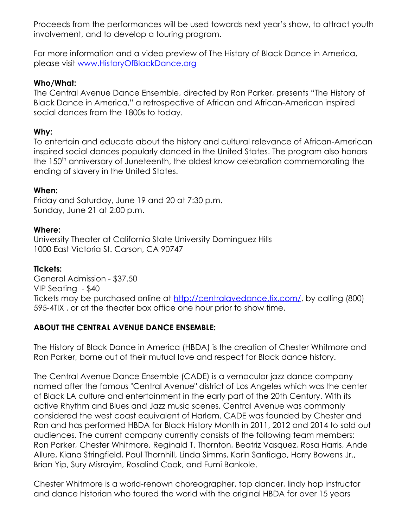Proceeds from the performances will be used towards next year's show, to attract youth involvement, and to develop a touring program.

For more information and a video preview of The History of Black Dance in America, please visit [www.HistoryOfBlackDance.org](http://www.HistoryOfBlackDance.org/)

### **Who/What:**

The Central Avenue Dance Ensemble, directed by Ron Parker, presents "The History of Black Dance in America," a retrospective of African and African-American inspired social dances from the 1800s to today.

# **Why:**

To entertain and educate about the history and cultural relevance of African-American inspired social dances popularly danced in the United States. The program also honors the 150<sup>th</sup> anniversary of Juneteenth, the oldest know celebration commemorating the ending of slavery in the United States.

#### **When:**

Friday and Saturday, June 19 and 20 at 7:30 p.m. Sunday, June 21 at 2:00 p.m.

#### **Where:**

University Theater at California State University Dominguez Hills 1000 East Victoria St. Carson, CA 90747

#### **Tickets:**

General Admission - \$37.50 VIP Seating - \$40 Tickets may be purchased online at [http://centralavedance.tix.com/,](http://centralavedance.tix.com/) by calling (800) 595-4TIX , or at the theater box office one hour prior to show time.

# **ABOUT THE CENTRAL AVENUE DANCE ENSEMBLE:**

The History of Black Dance in America (HBDA) is the creation of Chester Whitmore and Ron Parker, borne out of their mutual love and respect for Black dance history.

The Central Avenue Dance Ensemble (CADE) is a vernacular jazz dance company named after the famous "Central Avenue" district of Los Angeles which was the center of Black LA culture and entertainment in the early part of the 20th Century. With its active Rhythm and Blues and Jazz music scenes, Central Avenue was commonly considered the west coast equivalent of Harlem. CADE was founded by Chester and Ron and has performed HBDA for Black History Month in 2011, 2012 and 2014 to sold out audiences. The current company currently consists of the following team members: Ron Parker, Chester Whitmore, Reginald T. Thornton, Beatriz Vasquez, Rosa Harris, Ande Allure, Kiana Stringfield, Paul Thornhill, Linda Simms, Karin Santiago, Harry Bowens Jr., Brian Yip, Sury Misrayim, Rosalind Cook, and Fumi Bankole.

Chester Whitmore is a world-renown choreographer, tap dancer, lindy hop instructor and dance historian who toured the world with the original HBDA for over 15 years